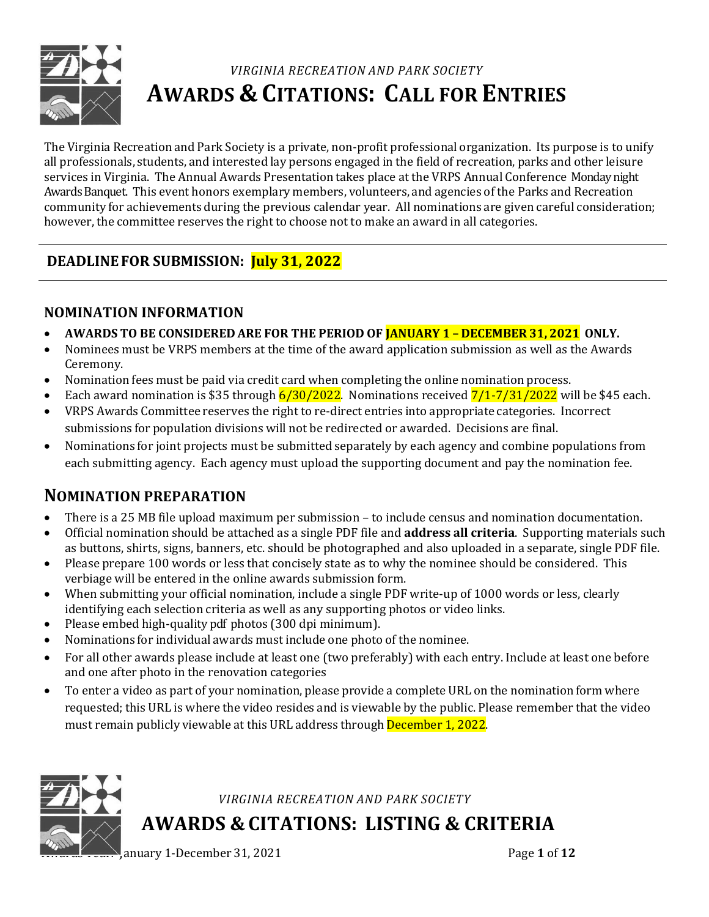

# *VIRGINIA RECREATION AND PARK SOCIETY* **AWARDS & CITATIONS: CALL FOR ENTRIES**

The Virginia Recreation and Park Society is a private, non-profit professional organization. Its purpose is to unify all professionals, students, and interested lay persons engaged in the field of recreation, parks and other leisure services in Virginia. The Annual Awards Presentation takes place at the VRPS Annual Conference Monday night Awards Banquet. This event honors exemplary members, volunteers, and agencies of the Parks and Recreation community for achievements during the previous calendar year. All nominations are given careful consideration; however, the committee reserves the right to choose not to make an award in all categories.

# **DEADLINEFOR SUBMISSION: July 31, 2022**

# **NOMINATION INFORMATION**

- **AWARDS TO BE CONSIDERED ARE FOR THE PERIOD OF JANUARY 1 – DECEMBER 31, 2021 ONLY.**
- Nominees must be VRPS members at the time of the award application submission as well as the Awards Ceremony.
- Nomination fees must be paid via credit card when completing the online nomination process.
- Each award nomination is \$35 through  $6/30/2022$ . Nominations received  $7/1-7/31/2022$  will be \$45 each.
- VRPS Awards Committee reserves the right to re-direct entries into appropriate categories. Incorrect submissions for population divisions will not be redirected or awarded. Decisions are final.
- Nominations for joint projects must be submitted separately by each agency and combine populations from each submitting agency. Each agency must upload the supporting document and pay the nomination fee.

# **NOMINATION PREPARATION**

- There is a 25 MB file upload maximum per submission to include census and nomination documentation.
- Official nomination should be attached as a single PDF file and **address all criteria**. Supporting materials such as buttons, shirts, signs, banners, etc. should be photographed and also uploaded in a separate, single PDF file.
- Please prepare 100 words or less that concisely state as to why the nominee should be considered. This verbiage will be entered in the online awards submission form.
- When submitting your official nomination, include a single PDF write-up of 1000 words or less, clearly identifying each selection criteria as well as any supporting photos or video links.
- Please embed high-quality pdf photos (300 dpi minimum).
- Nominations for individual awards must include one photo of the nominee.
- For all other awards please include at least one (two preferably) with each entry. Include at least one before and one after photo in the renovation categories
- To enter a video as part of your nomination, please provide a complete URL on the nomination form where requested; this URL is where the video resides and is viewable by the public. Please remember that the video must remain publicly viewable at this URL address through December 1, 2022.



*VIRGINIA RECREATION AND PARK SOCIETY*

**AWARDS & CITATIONS: LISTING & CRITERIA**

anuary 1-December 31, 2021 **Page 1** of **12**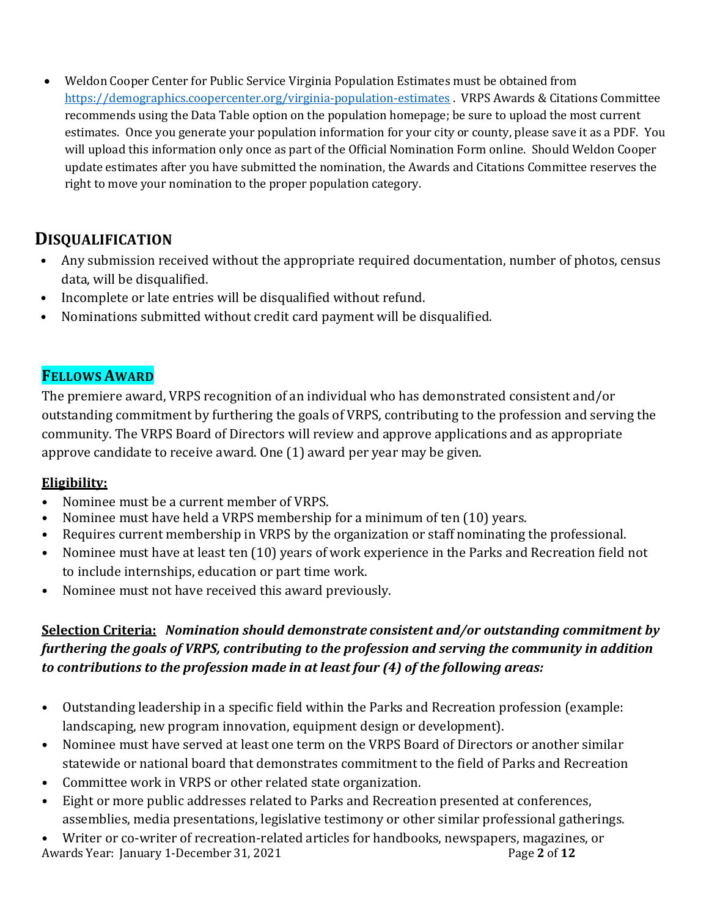• Weldon Cooper Center for Public Service Virginia Population Estimates must be obtained from <https://demographics.coopercenter.org/virginia-population-estimates> . VRPS Awards & Citations Committee recommends using the Data Table option on the population homepage; be sure to upload the most current estimates. Once you generate your population information for your city or county, please save it as a PDF. You will upload this information only once as part of the Official Nomination Form online. Should Weldon Cooper update estimates after you have submitted the nomination, the Awards and Citations Committee reserves the right to move your nomination to the proper population category.

# **DISQUALIFICATION**

- Any submission received without the appropriate required documentation, number of photos, census data, will be disqualified.
- Incomplete or late entries will be disqualified without refund.
- Nominations submitted without credit card payment will be disqualified.

# **FELLOWS AWARD**

The premiere award, VRPS recognition of an individual who has demonstrated consistent and/or outstanding commitment by furthering the goals of VRPS, contributing to the profession and serving the community. The VRPS Board of Directors will review and approve applications and as appropriate approve candidate to receive award. One (1) award per year may be given.

# **Eligibility:**

- Nominee must be a current member of VRPS.
- Nominee must have held a VRPS membership for a minimum of ten (10) years.
- Requires current membership in VRPS by the organization or staff nominating the professional.
- Nominee must have at least ten (10) years of work experience in the Parks and Recreation field not to include internships, education or part time work.
- Nominee must not have received this award previously.

# **Selection Criteria:** *Nomination should demonstrate consistent and/or outstanding commitment by furthering the goals of VRPS, contributing to the profession and serving the community in addition to contributions to the profession made in at least four (4) of the following areas:*

- Outstanding leadership in a specific field within the Parks and Recreation profession (example: landscaping, new program innovation, equipment design or development).
- Nominee must have served at least one term on the VRPS Board of Directors or another similar statewide or national board that demonstrates commitment to the field of Parks and Recreation
- Committee work in VRPS or other related state organization.
- Eight or more public addresses related to Parks and Recreation presented at conferences, assemblies, media presentations, legislative testimony or other similar professional gatherings.
- Awards Year: January 1-December 31, 2021 **Page 2** of 12 • Writer or co-writer of recreation-related articles for handbooks, newspapers, magazines, or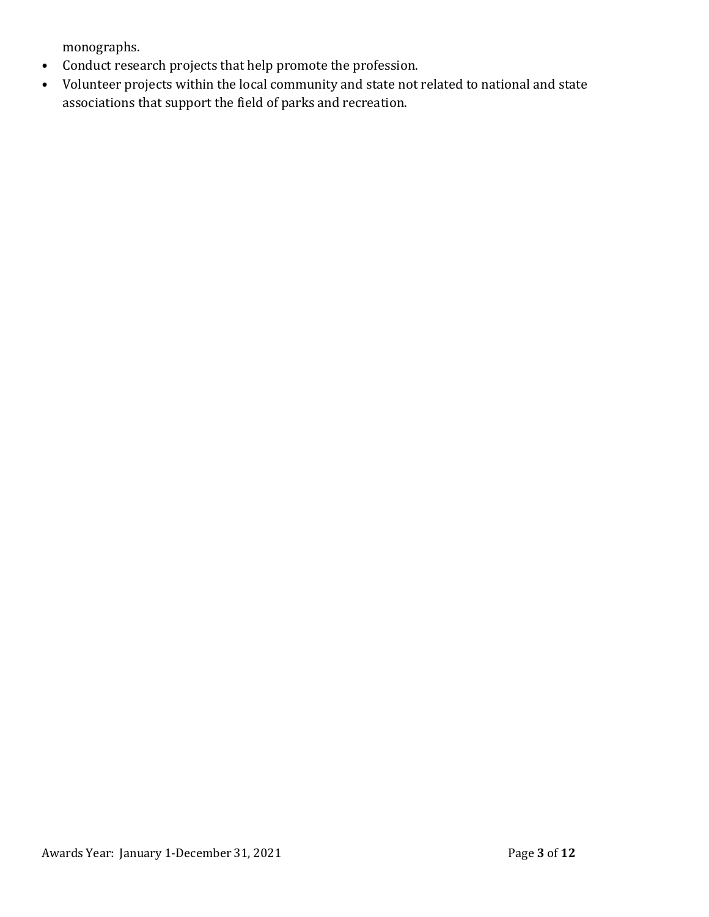monographs.

- Conduct research projects that help promote the profession.
- Volunteer projects within the local community and state not related to national and state associations that support the field of parks and recreation.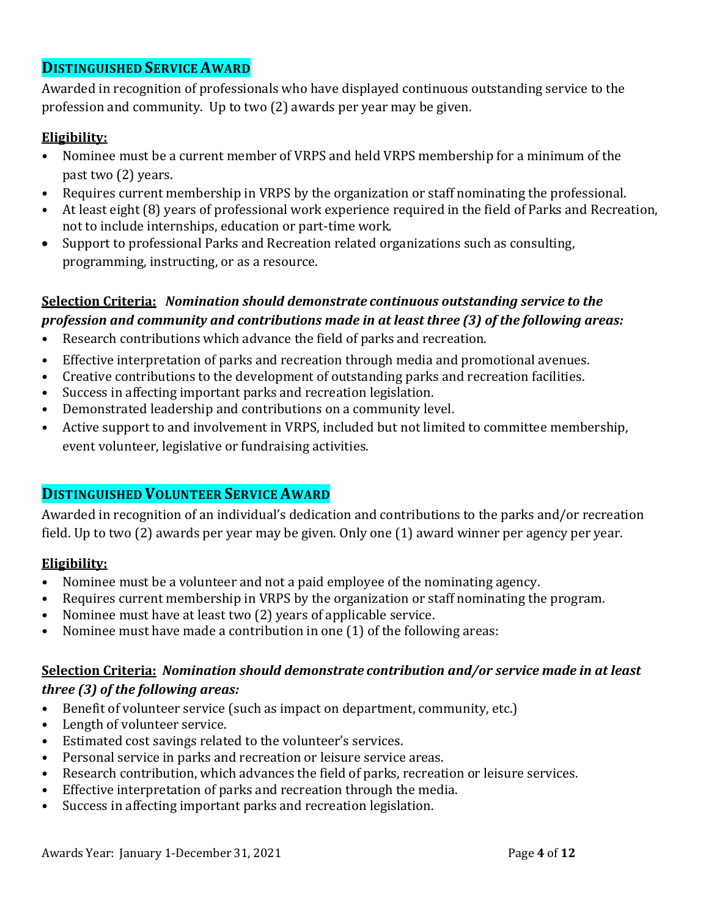### **DISTINGUISHED SERVICE AWARD**

Awarded in recognition of professionals who have displayed continuous outstanding service to the profession and community. Up to two (2) awards per year may be given.

### **Eligibility:**

- Nominee must be a current member of VRPS and held VRPS membership for a minimum of the past two (2) years.
- Requires current membership in VRPS by the organization or staff nominating the professional.
- At least eight (8) years of professional work experience required in the field of Parks and Recreation, not to include internships, education or part-time work.
- Support to professional Parks and Recreation related organizations such as consulting, programming, instructing, or as a resource.

### **Selection Criteria:** *Nomination should demonstrate continuous outstanding service to the profession and community and contributions made in at least three (3) of the following areas:*

- Research contributions which advance the field of parks and recreation.
- Effective interpretation of parks and recreation through media and promotional avenues.
- Creative contributions to the development of outstanding parks and recreation facilities.
- Success in affecting important parks and recreation legislation.
- Demonstrated leadership and contributions on a community level.
- Active support to and involvement in VRPS, included but not limited to committee membership, event volunteer, legislative or fundraising activities.

### **DISTINGUISHED VOLUNTEER SERVICE AWARD**

Awarded in recognition of an individual's dedication and contributions to the parks and/or recreation field. Up to two (2) awards per year may be given. Only one (1) award winner per agency per year.

### **Eligibility:**

- Nominee must be a volunteer and not a paid employee of the nominating agency.
- Requires current membership in VRPS by the organization or staff nominating the program.
- Nominee must have at least two (2) years of applicable service.
- Nominee must have made a contribution in one (1) of the following areas:

### **Selection Criteria:** *Nomination should demonstrate contribution and/or service made in at least three (3) of the following areas:*

- Benefit of volunteer service (such as impact on department, community, etc.)
- Length of volunteer service.
- Estimated cost savings related to the volunteer's services.
- Personal service in parks and recreation or leisure service areas.
- Research contribution, which advances the field of parks, recreation or leisure services.
- Effective interpretation of parks and recreation through the media.
- Success in affecting important parks and recreation legislation.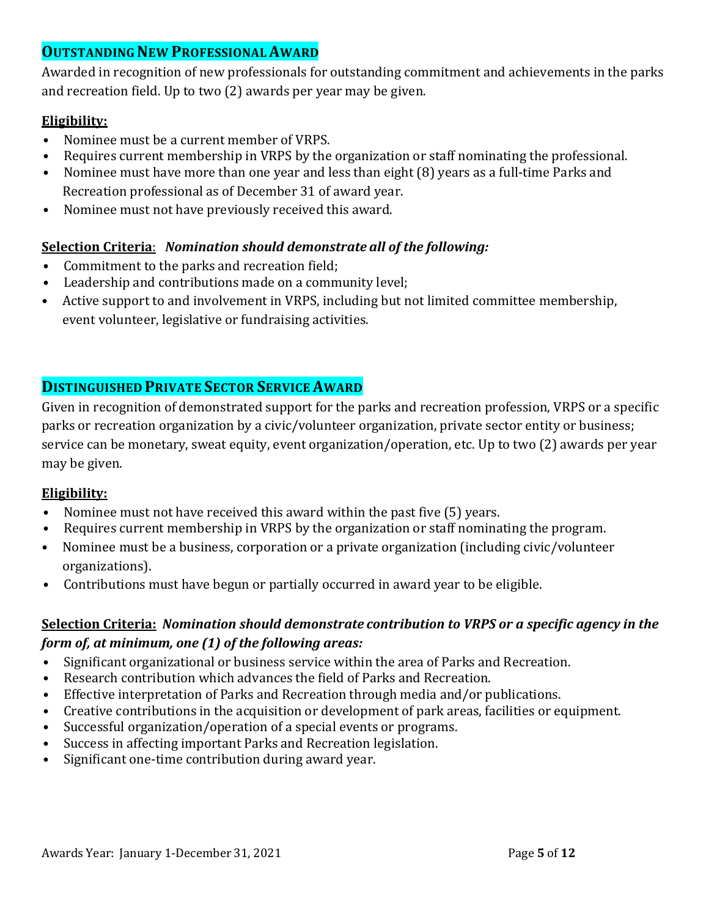# **OUTSTANDINGNEW PROFESSIONALAWARD**

Awarded in recognition of new professionals for outstanding commitment and achievements in the parks and recreation field. Up to two (2) awards per year may be given.

### **Eligibility:**

- Nominee must be a current member of VRPS.
- Requires current membership in VRPS by the organization or staff nominating the professional.
- Nominee must have more than one year and less than eight (8) years as a full-time Parks and Recreation professional as of December 31 of award year.
- Nominee must not have previously received this award.

### **Selection Criteria**: *Nomination should demonstrate all of the following:*

- Commitment to the parks and recreation field;
- Leadership and contributions made on a community level;
- Active support to and involvement in VRPS, including but not limited committee membership, event volunteer, legislative or fundraising activities.

# **DISTINGUISHED PRIVATE SECTOR SERVICE AWARD**

Given in recognition of demonstrated support for the parks and recreation profession, VRPS or a specific parks or recreation organization by a civic/volunteer organization, private sector entity or business; service can be monetary, sweat equity, event organization/operation, etc. Up to two (2) awards per year may be given.

### **Eligibility:**

- Nominee must not have received this award within the past five (5) years.
- Requires current membership in VRPS by the organization or staff nominating the program.
- Nominee must be a business, corporation or a private organization (including civic/volunteer organizations).
- Contributions must have begun or partially occurred in award year to be eligible.

### **Selection Criteria:** *Nomination should demonstrate contribution to VRPS or a specific agency in the form of, at minimum, one (1) of the following areas:*

- Significant organizational or business service within the area of Parks and Recreation.
- Research contribution which advances the field of Parks and Recreation.
- Effective interpretation of Parks and Recreation through media and/or publications.
- Creative contributions in the acquisition or development of park areas, facilities or equipment.
- Successful organization/operation of a special events or programs.
- Success in affecting important Parks and Recreation legislation.
- Significant one-time contribution during award year.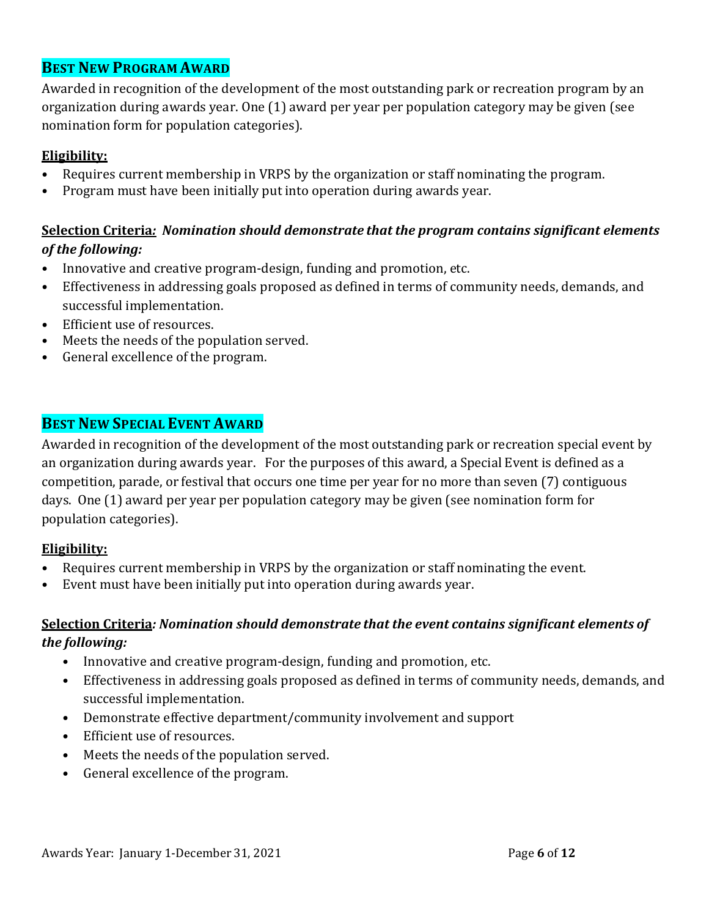# **BEST NEW PROGRAM AWARD**

Awarded in recognition of the development of the most outstanding park or recreation program by an organization during awards year. One (1) award per year per population category may be given (see nomination form for population categories).

### **Eligibility:**

- Requires current membership in VRPS by the organization or staff nominating the program.
- Program must have been initially put into operation during awards year.

# **Selection Criteria***: Nomination should demonstrate that the program contains significant elements of the following:*

- Innovative and creative program-design, funding and promotion, etc.
- Effectiveness in addressing goals proposed as defined in terms of community needs, demands, and successful implementation.
- Efficient use of resources.
- Meets the needs of the population served.
- General excellence of the program.

# **BEST NEW SPECIAL EVENT AWARD**

Awarded in recognition of the development of the most outstanding park or recreation special event by an organization during awards year. For the purposes of this award, a Special Event is defined as a competition, parade, or festival that occurs one time per year for no more than seven (7) contiguous days. One (1) award per year per population category may be given (see nomination form for population categories).

#### **Eligibility:**

- Requires current membership in VRPS by the organization or staff nominating the event.
- Event must have been initially put into operation during awards year.

### **Selection Criteria***: Nomination should demonstrate that the event contains significant elements of the following:*

- Innovative and creative program-design, funding and promotion, etc.
- Effectiveness in addressing goals proposed as defined in terms of community needs, demands, and successful implementation.
- Demonstrate effective department/community involvement and support
- Efficient use of resources.
- Meets the needs of the population served.
- General excellence of the program.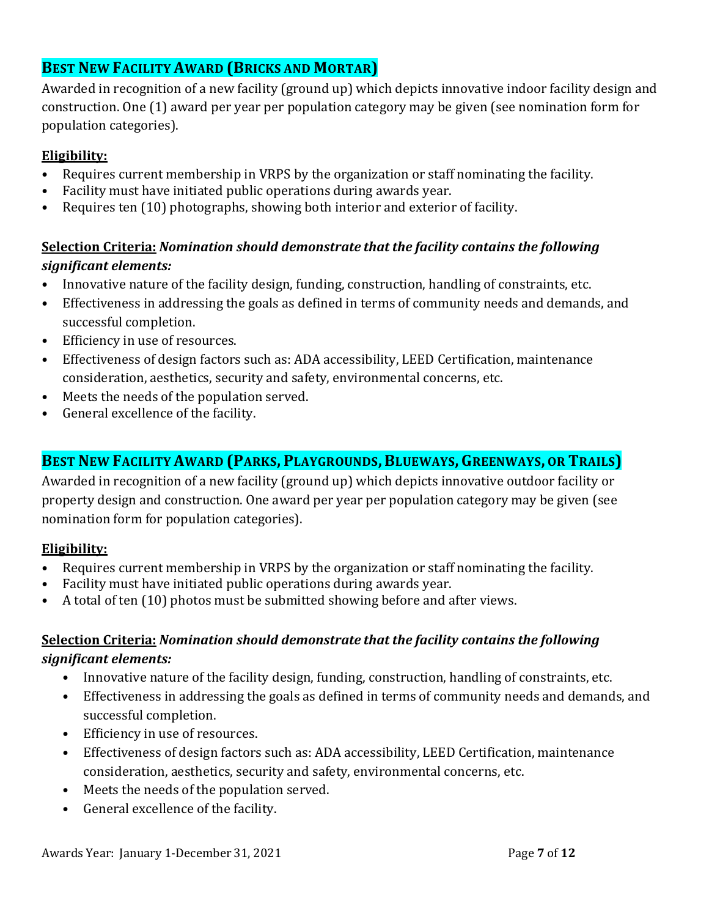# **BEST NEW FACILITY AWARD (BRICKS AND MORTAR)**

Awarded in recognition of a new facility (ground up) which depicts innovative indoor facility design and construction. One (1) award per year per population category may be given (see nomination form for population categories).

# **Eligibility:**

- Requires current membership in VRPS by the organization or staff nominating the facility.
- Facility must have initiated public operations during awards year.
- Requires ten (10) photographs, showing both interior and exterior of facility.

# **Selection Criteria:** *Nomination should demonstrate that the facility contains the following significant elements:*

- Innovative nature of the facility design, funding, construction, handling of constraints, etc.
- Effectiveness in addressing the goals as defined in terms of community needs and demands, and successful completion.
- Efficiency in use of resources.
- Effectiveness of design factors such as: ADA accessibility, LEED Certification, maintenance consideration, aesthetics, security and safety, environmental concerns, etc.
- Meets the needs of the population served.
- General excellence of the facility.

# **BEST NEW FACILITY AWARD (PARKS, PLAYGROUNDS, BLUEWAYS, GREENWAYS, OR TRAILS)**

Awarded in recognition of a new facility (ground up) which depicts innovative outdoor facility or property design and construction. One award per year per population category may be given (see nomination form for population categories).

# **Eligibility:**

- Requires current membership in VRPS by the organization or staff nominating the facility.
- Facility must have initiated public operations during awards year.
- A total of ten (10) photos must be submitted showing before and after views.

### **Selection Criteria:** *Nomination should demonstrate that the facility contains the following significant elements:*

- Innovative nature of the facility design, funding, construction, handling of constraints, etc.
- Effectiveness in addressing the goals as defined in terms of community needs and demands, and successful completion.
- Efficiency in use of resources.
- Effectiveness of design factors such as: ADA accessibility, LEED Certification, maintenance consideration, aesthetics, security and safety, environmental concerns, etc.
- Meets the needs of the population served.
- General excellence of the facility.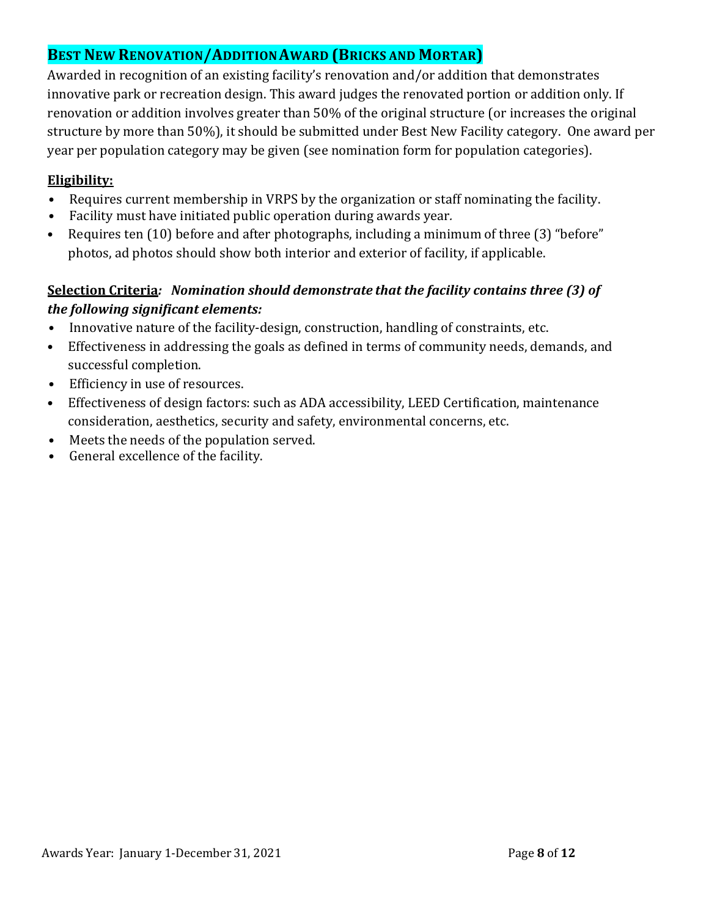# **BEST NEW RENOVATION/ADDITIONAWARD (BRICKS AND MORTAR)**

Awarded in recognition of an existing facility's renovation and/or addition that demonstrates innovative park or recreation design. This award judges the renovated portion or addition only. If renovation or addition involves greater than 50% of the original structure (or increases the original structure by more than 50%), it should be submitted under Best New Facility category. One award per year per population category may be given (see nomination form for population categories).

### **Eligibility:**

- Requires current membership in VRPS by the organization or staff nominating the facility.
- Facility must have initiated public operation during awards year*.*
- Requires ten (10) before and after photographs, including a minimum of three (3) "before" photos, ad photos should show both interior and exterior of facility, if applicable.

# **Selection Criteria***: Nomination should demonstrate that the facility contains three (3) of the following significant elements:*

- Innovative nature of the facility-design, construction, handling of constraints, etc.
- Effectiveness in addressing the goals as defined in terms of community needs, demands, and successful completion.
- Efficiency in use of resources.
- Effectiveness of design factors: such as ADA accessibility, LEED Certification, maintenance consideration, aesthetics, security and safety, environmental concerns, etc.
- Meets the needs of the population served.
- General excellence of the facility.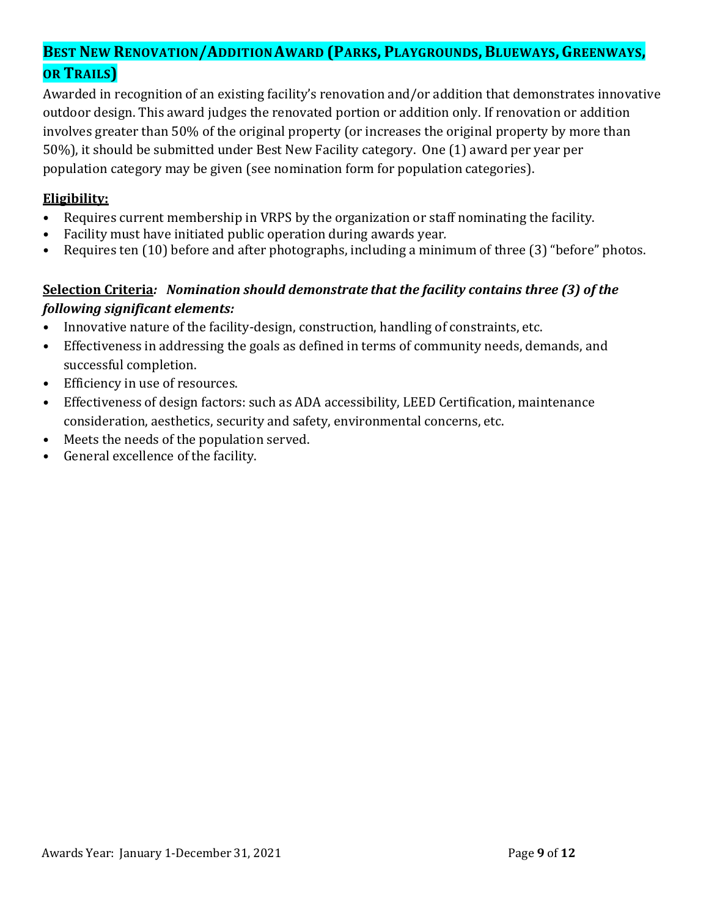# **BEST NEW RENOVATION/ADDITIONAWARD (PARKS, PLAYGROUNDS,BLUEWAYS,GREENWAYS, OR TRAILS)**

Awarded in recognition of an existing facility's renovation and/or addition that demonstrates innovative outdoor design. This award judges the renovated portion or addition only. If renovation or addition involves greater than 50% of the original property (or increases the original property by more than 50%), it should be submitted under Best New Facility category. One (1) award per year per population category may be given (see nomination form for population categories).

### **Eligibility:**

- Requires current membership in VRPS by the organization or staff nominating the facility.
- Facility must have initiated public operation during awards year*.*
- Requires ten (10) before and after photographs, including a minimum of three (3) "before" photos.

# **Selection Criteria***: Nomination should demonstrate that the facility contains three (3) of the following significant elements:*

- Innovative nature of the facility-design, construction, handling of constraints, etc.
- Effectiveness in addressing the goals as defined in terms of community needs, demands, and successful completion.
- Efficiency in use of resources.
- Effectiveness of design factors: such as ADA accessibility, LEED Certification, maintenance consideration, aesthetics, security and safety, environmental concerns, etc.
- Meets the needs of the population served.
- General excellence of the facility.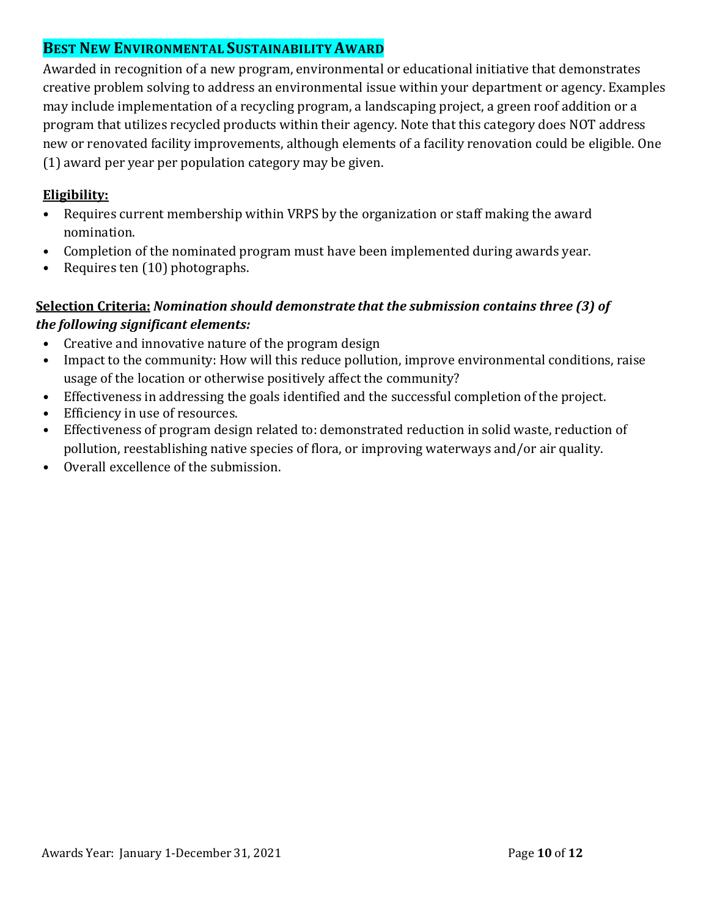# **BEST NEW ENVIRONMENTAL SUSTAINABILITYAWARD**

Awarded in recognition of a new program, environmental or educational initiative that demonstrates creative problem solving to address an environmental issue within your department or agency. Examples may include implementation of a recycling program, a landscaping project, a green roof addition or a program that utilizes recycled products within their agency. Note that this category does NOT address new or renovated facility improvements, although elements of a facility renovation could be eligible. One (1) award per year per population category may be given.

### **Eligibility:**

- Requires current membership within VRPS by the organization or staff making the award nomination.
- Completion of the nominated program must have been implemented during awards year.
- Requires ten (10) photographs.

### **Selection Criteria:** *Nomination should demonstrate that the submission contains three (3) of the following significant elements:*

- Creative and innovative nature of the program design
- Impact to the community: How will this reduce pollution, improve environmental conditions, raise usage of the location or otherwise positively affect the community?
- Effectiveness in addressing the goals identified and the successful completion of the project.
- Efficiency in use of resources.
- Effectiveness of program design related to: demonstrated reduction in solid waste, reduction of pollution, reestablishing native species of flora, or improving waterways and/or air quality.
- Overall excellence of the submission.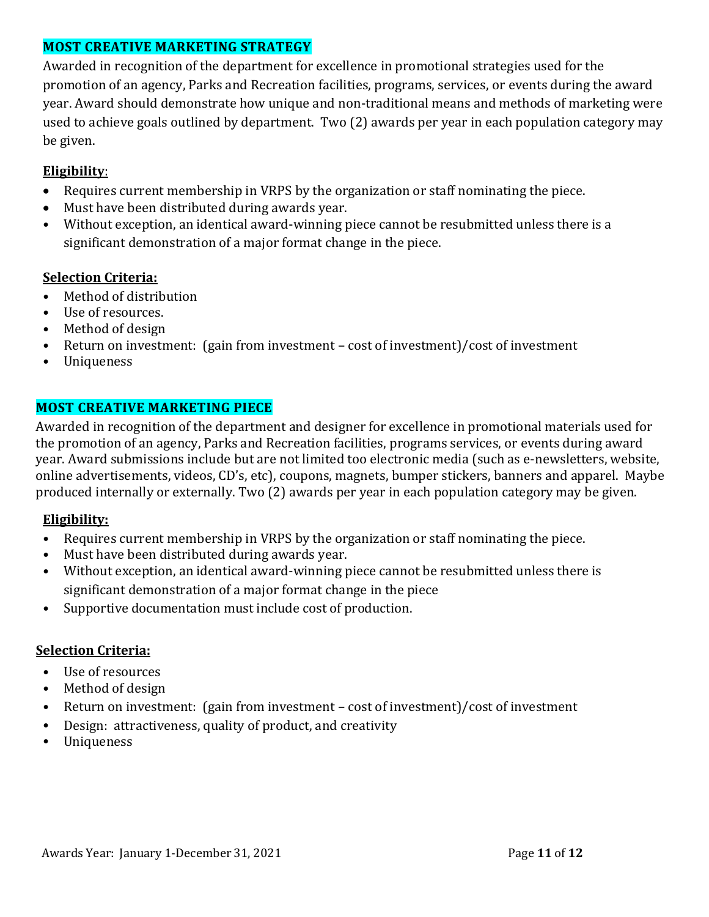### **MOST CREATIVE MARKETING STRATEGY**

Awarded in recognition of the department for excellence in promotional strategies used for the promotion of an agency, Parks and Recreation facilities, programs, services, or events during the award year. Award should demonstrate how unique and non-traditional means and methods of marketing were used to achieve goals outlined by department. Two (2) awards per year in each population category may be given.

### **Eligibility**:

- Requires current membership in VRPS by the organization or staff nominating the piece.
- Must have been distributed during awards year.
- Without exception, an identical award-winning piece cannot be resubmitted unless there is a significant demonstration of a major format change in the piece.

### **Selection Criteria:**

- Method of distribution
- Use of resources.
- Method of design
- Return on investment: (gain from investment cost of investment)/cost of investment
- Uniqueness

### **MOST CREATIVE MARKETING PIECE**

Awarded in recognition of the department and designer for excellence in promotional materials used for the promotion of an agency, Parks and Recreation facilities, programs services, or events during award year. Award submissions include but are not limited too electronic media (such as e-newsletters, website, online advertisements, videos, CD's, etc), coupons, magnets, bumper stickers, banners and apparel. Maybe produced internally or externally. Two (2) awards per year in each population category may be given.

#### **Eligibility:**

- Requires current membership in VRPS by the organization or staff nominating the piece.
- Must have been distributed during awards year.
- Without exception, an identical award-winning piece cannot be resubmitted unless there is significant demonstration of a major format change in the piece
- Supportive documentation must include cost of production.

#### **Selection Criteria:**

- Use of resources
- Method of design
- Return on investment: (gain from investment cost of investment)/cost of investment
- Design: attractiveness, quality of product, and creativity
- Uniqueness